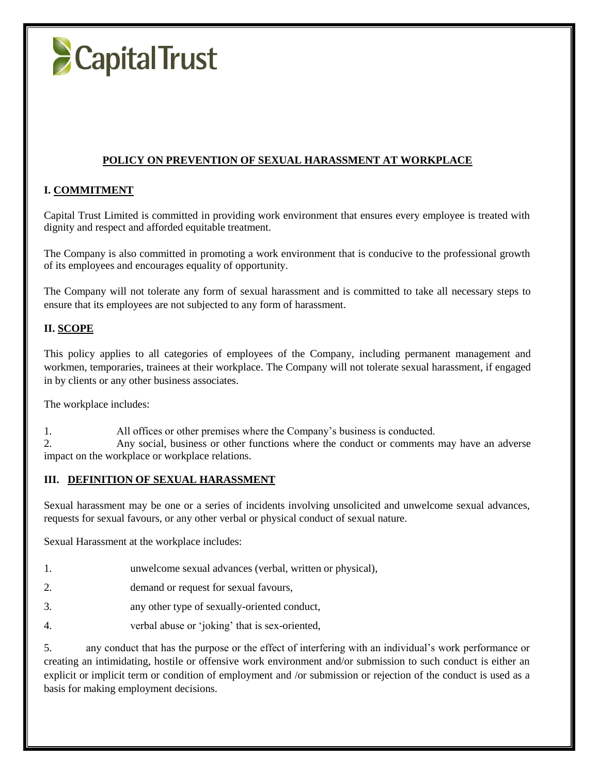

### **POLICY ON PREVENTION OF SEXUAL HARASSMENT AT WORKPLACE**

#### **I. COMMITMENT**

Capital Trust Limited is committed in providing work environment that ensures every employee is treated with dignity and respect and afforded equitable treatment.

The Company is also committed in promoting a work environment that is conducive to the professional growth of its employees and encourages equality of opportunity.

The Company will not tolerate any form of sexual harassment and is committed to take all necessary steps to ensure that its employees are not subjected to any form of harassment.

#### **II. SCOPE**

This policy applies to all categories of employees of the Company, including permanent management and workmen, temporaries, trainees at their workplace. The Company will not tolerate sexual harassment, if engaged in by clients or any other business associates.

The workplace includes:

1. All offices or other premises where the Company's business is conducted.

2. Any social, business or other functions where the conduct or comments may have an adverse impact on the workplace or workplace relations.

#### **III. DEFINITION OF SEXUAL HARASSMENT**

Sexual harassment may be one or a series of incidents involving unsolicited and unwelcome sexual advances, requests for sexual favours, or any other verbal or physical conduct of sexual nature.

Sexual Harassment at the workplace includes:

1. unwelcome sexual advances (verbal, written or physical),

2. demand or request for sexual favours,

- 3. any other type of sexually-oriented conduct,
- 4. verbal abuse or 'joking' that is sex-oriented,

5. any conduct that has the purpose or the effect of interfering with an individual's work performance or creating an intimidating, hostile or offensive work environment and/or submission to such conduct is either an explicit or implicit term or condition of employment and /or submission or rejection of the conduct is used as a basis for making employment decisions.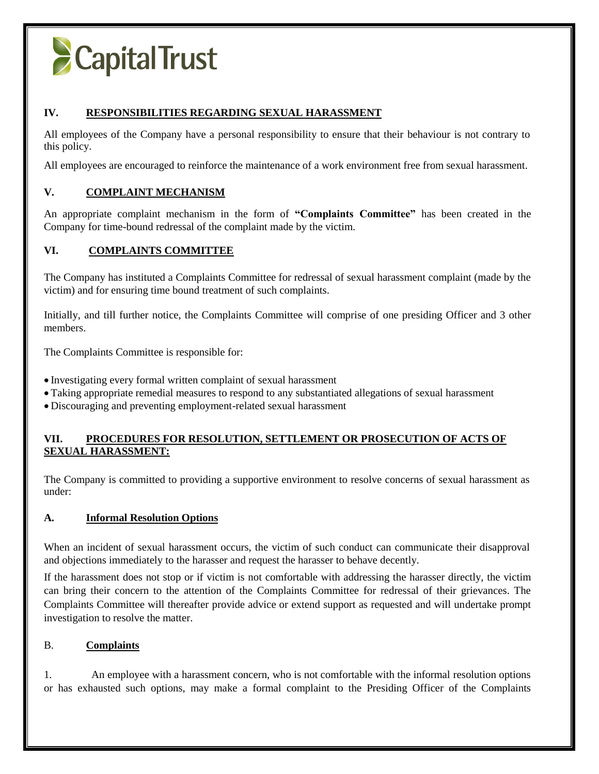# **CapitalTrust**

## **IV. RESPONSIBILITIES REGARDING SEXUAL HARASSMENT**

All employees of the Company have a personal responsibility to ensure that their behaviour is not contrary to this policy.

All employees are encouraged to reinforce the maintenance of a work environment free from sexual harassment.

## **V. COMPLAINT MECHANISM**

An appropriate complaint mechanism in the form of **"Complaints Committee"** has been created in the Company for time-bound redressal of the complaint made by the victim.

## **VI. COMPLAINTS COMMITTEE**

The Company has instituted a Complaints Committee for redressal of sexual harassment complaint (made by the victim) and for ensuring time bound treatment of such complaints.

Initially, and till further notice, the Complaints Committee will comprise of one presiding Officer and 3 other members.

The Complaints Committee is responsible for:

- Investigating every formal written complaint of sexual harassment
- Taking appropriate remedial measures to respond to any substantiated allegations of sexual harassment
- Discouraging and preventing employment-related sexual harassment

## **VII. PROCEDURES FOR RESOLUTION, SETTLEMENT OR PROSECUTION OF ACTS OF SEXUAL HARASSMENT:**

The Company is committed to providing a supportive environment to resolve concerns of sexual harassment as under:

## **A. Informal Resolution Options**

When an incident of sexual harassment occurs, the victim of such conduct can communicate their disapproval and objections immediately to the harasser and request the harasser to behave decently.

If the harassment does not stop or if victim is not comfortable with addressing the harasser directly, the victim can bring their concern to the attention of the Complaints Committee for redressal of their grievances. The Complaints Committee will thereafter provide advice or extend support as requested and will undertake prompt investigation to resolve the matter.

## B. **Complaints**

1. An employee with a harassment concern, who is not comfortable with the informal resolution options or has exhausted such options, may make a formal complaint to the Presiding Officer of the Complaints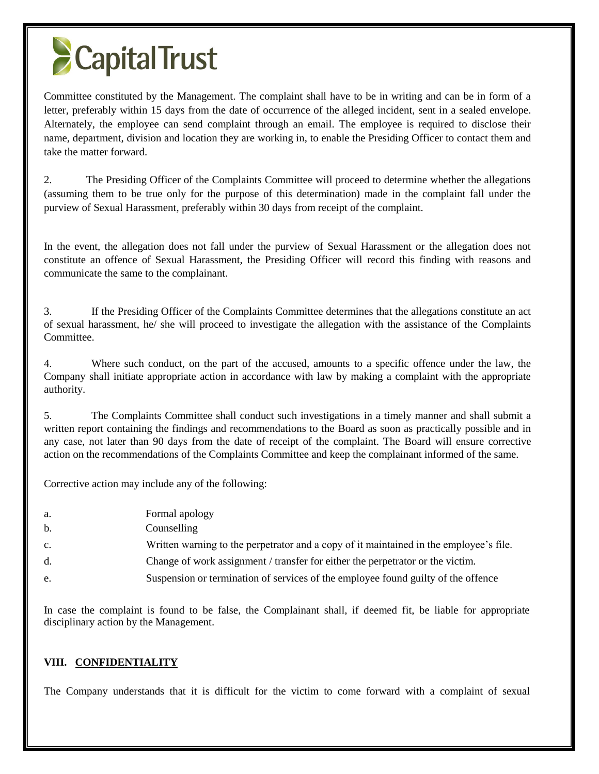# **CapitalTrust**

Committee constituted by the Management. The complaint shall have to be in writing and can be in form of a letter, preferably within 15 days from the date of occurrence of the alleged incident, sent in a sealed envelope. Alternately, the employee can send complaint through an email. The employee is required to disclose their name, department, division and location they are working in, to enable the Presiding Officer to contact them and take the matter forward.

2. The Presiding Officer of the Complaints Committee will proceed to determine whether the allegations (assuming them to be true only for the purpose of this determination) made in the complaint fall under the purview of Sexual Harassment, preferably within 30 days from receipt of the complaint.

In the event, the allegation does not fall under the purview of Sexual Harassment or the allegation does not constitute an offence of Sexual Harassment, the Presiding Officer will record this finding with reasons and communicate the same to the complainant.

3. If the Presiding Officer of the Complaints Committee determines that the allegations constitute an act of sexual harassment, he/ she will proceed to investigate the allegation with the assistance of the Complaints Committee.

4. Where such conduct, on the part of the accused, amounts to a specific offence under the law, the Company shall initiate appropriate action in accordance with law by making a complaint with the appropriate authority.

5. The Complaints Committee shall conduct such investigations in a timely manner and shall submit a written report containing the findings and recommendations to the Board as soon as practically possible and in any case, not later than 90 days from the date of receipt of the complaint. The Board will ensure corrective action on the recommendations of the Complaints Committee and keep the complainant informed of the same.

Corrective action may include any of the following:

| a.             | Formal apology                                                                         |
|----------------|----------------------------------------------------------------------------------------|
| b.             | Counselling                                                                            |
| $\mathbf{c}$ . | Written warning to the perpetrator and a copy of it maintained in the employee's file. |
| d.             | Change of work assignment / transfer for either the perpetrator or the victim.         |
| e.             | Suspension or termination of services of the employee found guilty of the offence      |

In case the complaint is found to be false, the Complainant shall, if deemed fit, be liable for appropriate disciplinary action by the Management.

## **VIII. CONFIDENTIALITY**

The Company understands that it is difficult for the victim to come forward with a complaint of sexual